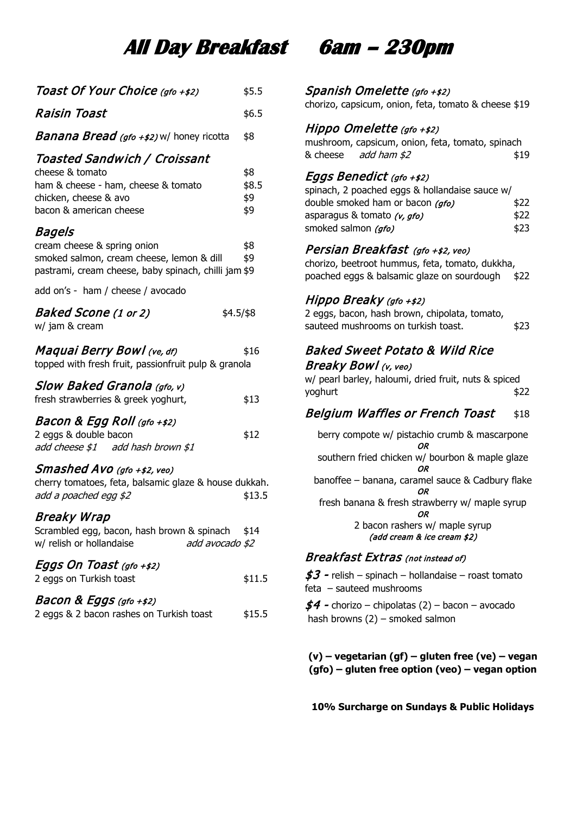# **All Day Breakfast 6am – 230pm**

| Toast Of Your Choice (gfo +\$2)                                                                                                                                                 | \$5.5                      |
|---------------------------------------------------------------------------------------------------------------------------------------------------------------------------------|----------------------------|
| Raisin Toast                                                                                                                                                                    | \$6.5                      |
| <b>Banana Bread</b> (gfo +\$2) w/ honey ricotta                                                                                                                                 | \$8                        |
| <b>Toasted Sandwich / Croissant</b><br>cheese & tomato<br>ham & cheese - ham, cheese & tomato<br>chicken, cheese & avo<br>bacon & american cheese                               | \$8<br>\$8.5<br>\$9<br>\$9 |
| Bagels<br>cream cheese & spring onion<br>smoked salmon, cream cheese, lemon & dill<br>pastrami, cream cheese, baby spinach, chilli jam \$9<br>add on's - ham / cheese / avocado | \$8<br>\$9                 |
| Baked Scone (1 or 2)<br>w/ jam & cream                                                                                                                                          | $$4.5/\$8$                 |
| Maquai Berry Bowl (ve, df)<br>topped with fresh fruit, passionfruit pulp & granola                                                                                              | \$16                       |
| Slow Baked Granola (gfo, v)<br>fresh strawberries & greek yoghurt,                                                                                                              | \$13                       |
| Bacon & Egg Roll (gfo +\$2)<br>2 eggs & double bacon<br>add cheese \$1 add hash brown \$1                                                                                       | \$12                       |
| Smashed Avo (gfo +\$2, veo)<br>cherry tomatoes, feta, balsamic glaze & house dukkah.<br>add a poached egg \$2                                                                   | \$13.5                     |
| <b>Breaky Wrap</b><br>Scrambled egg, bacon, hash brown & spinach<br>w/ relish or hollandaise<br>add avocado \$2                                                                 | \$14                       |
| Eggs On Toast (gfo +\$2)<br>2 eggs on Turkish toast                                                                                                                             | \$11.5                     |
| Bacon & Eggs (gfo +\$2)<br>2 eggs & 2 bacon rashes on Turkish toast                                                                                                             | \$15.5                     |
|                                                                                                                                                                                 |                            |

### Spanish Omelette (gfo +\$2)

chorizo, capsicum, onion, feta, tomato & cheese \$19

### Hippo Omelette (gfo +\$2)

mushroom, capsicum, onion, feta, tomato, spinach & cheese  $add \, ham \, s2$   $$19$ 

### Eggs Benedict (gfo +\$2)

| spinach, 2 poached eggs & hollandaise sauce w/ |      |
|------------------------------------------------|------|
| double smoked ham or bacon (gfo)               | \$22 |
| asparagus & tomato (v, gfo)                    | \$22 |
| smoked salmon (gfo)                            | \$23 |

### Persian Breakfast (gfo +\$2, veo)

chorizo, beetroot hummus, feta, tomato, dukkha, poached eggs & balsamic glaze on sourdough \$22

### Hippo Breaky (gfo +\$2)

2 eggs, bacon, hash brown, chipolata, tomato, sauteed mushrooms on turkish toast.  $\sim$  \$23

### Baked Sweet Potato & Wild Rice Breaky Bowl (v, veo)

w/ pearl barley, haloumi, dried fruit, nuts & spiced yoghurt \$22

### Belgium Waffles or French Toast \$18

berry compote w/ pistachio crumb & mascarpone OR southern fried chicken w/ bourbon & maple glaze OR banoffee – banana, caramel sauce & Cadbury flake OR fresh banana & fresh strawberry w/ maple syrup OR 2 bacon rashers w/ maple syrup (add cream & ice cream \$2)

### Breakfast Extras (not instead of)

 $$3$  - relish – spinach – hollandaise – roast tomato feta – sauteed mushrooms

 $$4$  - chorizo – chipolatas (2) – bacon – avocado hash browns (2) – smoked salmon

**(v) – vegetarian (gf) – gluten free (ve) – vegan (gfo) – gluten free option (veo) – vegan option**

**10% Surcharge on Sundays & Public Holidays**